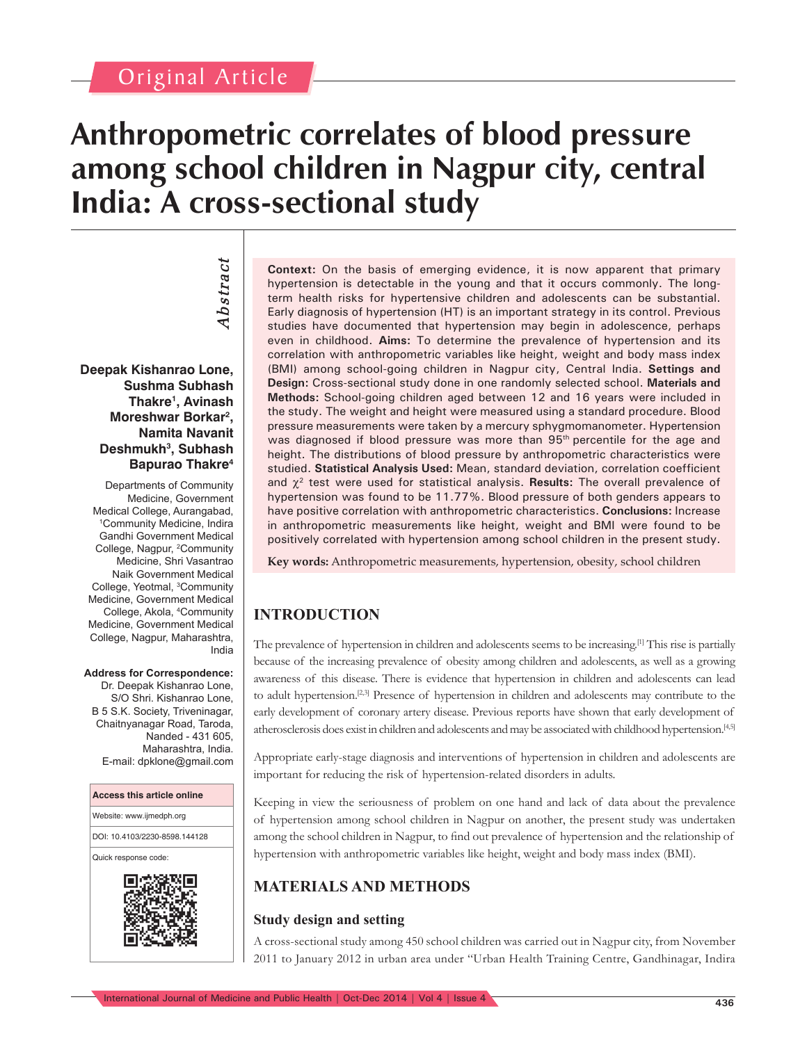# **Anthropometric correlates of blood pressure among school children in Nagpur city, central India: A cross-sectional study**

Abstract *Abstract*

**Deepak Kishanrao Lone, Sushma Subhash Thakre1 , Avinash Moreshwar Borkar2 , Namita Navanit Deshmukh3 , Subhash Bapurao Thakre4**

Departments of Community Medicine, Government Medical College, Aurangabad, 1 Community Medicine, Indira Gandhi Government Medical College, Nagpur, <sup>2</sup>Community Medicine, Shri Vasantrao Naik Government Medical College, Yeotmal, 3 Community Medicine, Government Medical College, Akola, 4 Community Medicine, Government Medical College, Nagpur, Maharashtra, India

#### **Address for Correspondence:**

Dr. Deepak Kishanrao Lone S/O Shri. Kishanrao Lone, B 5 S.K. Society, Triveninagar, Chaitnyanagar Road, Taroda, Nanded - 431 605, Maharashtra, India. E-mail: dpklone@gmail.com



**Context:** On the basis of emerging evidence, it is now apparent that primary hypertension is detectable in the young and that it occurs commonly. The longterm health risks for hypertensive children and adolescents can be substantial. Early diagnosis of hypertension (HT) is an important strategy in its control. Previous studies have documented that hypertension may begin in adolescence, perhaps even in childhood. **Aims:** To determine the prevalence of hypertension and its correlation with anthropometric variables like height, weight and body mass index (BMI) among school-going children in Nagpur city, Central India. **Settings and Design:** Cross-sectional study done in one randomly selected school. **Materials and Methods:** School-going children aged between 12 and 16 years were included in the study. The weight and height were measured using a standard procedure. Blood pressure measurements were taken by a mercury sphygmomanometer. Hypertension was diagnosed if blood pressure was more than 95<sup>th</sup> percentile for the age and height. The distributions of blood pressure by anthropometric characteristics were studied. Statistical Analysis Used: Mean, standard deviation, correlation coefficient and  $\chi^2$  test were used for statistical analysis. **Results:** The overall prevalence of hypertension was found to be 11.77%. Blood pressure of both genders appears to have positive correlation with anthropometric characteristics. **Conclusions:** Increase in anthropometric measurements like height, weight and BMI were found to be positively correlated with hypertension among school children in the present study.

**Key words:** Anthropometric measurements, hypertension, obesity, school children

# **INTRODUCTION**

The prevalence of hypertension in children and adolescents seems to be increasing.<sup>[1]</sup> This rise is partially because of the increasing prevalence of obesity among children and adolescents, as well as a growing awareness of this disease. There is evidence that hypertension in children and adolescents can lead to adult hypertension.<sup>[2,3]</sup> Presence of hypertension in children and adolescents may contribute to the early development of coronary artery disease. Previous reports have shown that early development of atherosclerosis does exist in children and adolescents and may be associated with childhood hypertension.[4,5]

Appropriate early-stage diagnosis and interventions of hypertension in children and adolescents are important for reducing the risk of hypertension-related disorders in adults.

Keeping in view the seriousness of problem on one hand and lack of data about the prevalence of hypertension among school children in Nagpur on another, the present study was undertaken among the school children in Nagpur, to find out prevalence of hypertension and the relationship of hypertension with anthropometric variables like height, weight and body mass index (BMI).

# **MATERIALS AND METHODS**

## **Study design and setting**

A cross-sectional study among 450 school children was carried out in Nagpur city, from November 2011 to January 2012 in urban area under "Urban Health Training Centre, Gandhinagar, Indira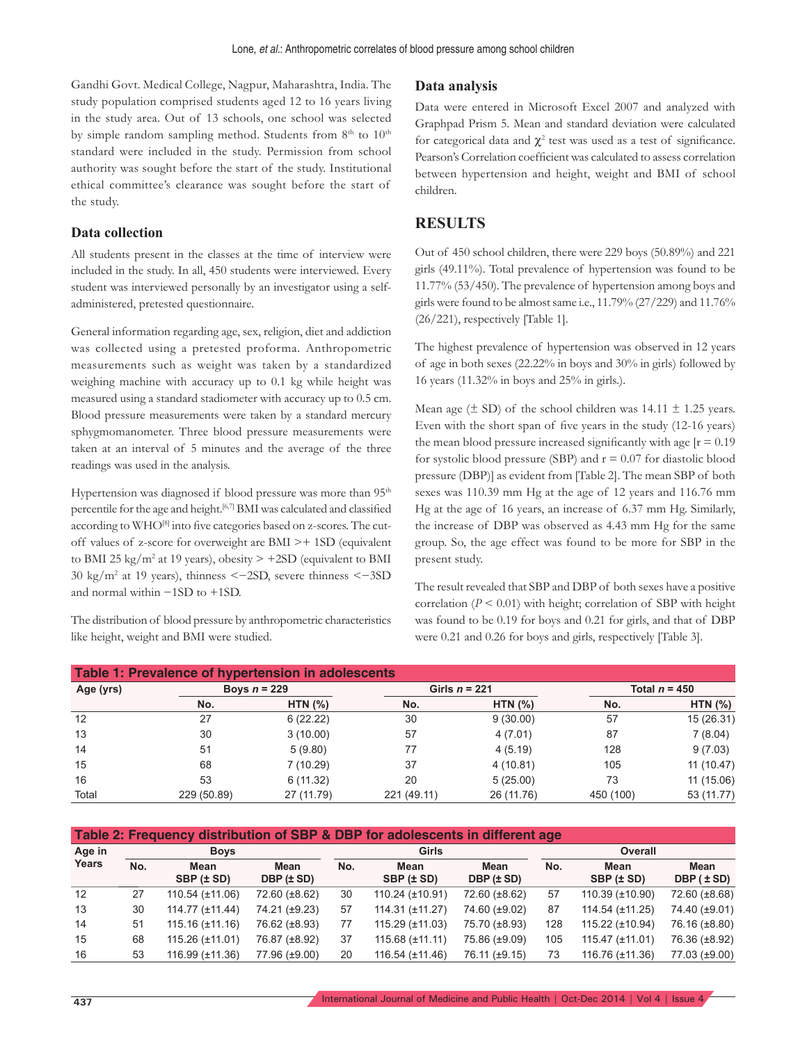Gandhi Govt. Medical College, Nagpur, Maharashtra, India. The study population comprised students aged 12 to 16 years living in the study area. Out of 13 schools, one school was selected by simple random sampling method. Students from  $8<sup>th</sup>$  to  $10<sup>th</sup>$ standard were included in the study. Permission from school authority was sought before the start of the study. Institutional ethical committee's clearance was sought before the start of the study.

#### **Data collection**

All students present in the classes at the time of interview were included in the study. In all, 450 students were interviewed. Every student was interviewed personally by an investigator using a selfadministered, pretested questionnaire.

General information regarding age, sex, religion, diet and addiction was collected using a pretested proforma. Anthropometric measurements such as weight was taken by a standardized weighing machine with accuracy up to 0.1 kg while height was measured using a standard stadiometer with accuracy up to 0.5 cm. Blood pressure measurements were taken by a standard mercury sphygmomanometer. Three blood pressure measurements were taken at an interval of 5 minutes and the average of the three readings was used in the analysis.

Hypertension was diagnosed if blood pressure was more than 95<sup>th</sup> percentile for the age and height.<sup>[6,7]</sup> BMI was calculated and classified according to WHO<sup>[8]</sup> into five categories based on z-scores. The cutoff values of z-score for overweight are BMI >+ 1SD (equivalent to BMI 25 kg/m<sup>2</sup> at 19 years), obesity  $> +2SD$  (equivalent to BMI 30 kg/m2 at 19 years), thinness <−2SD, severe thinness <−3SD and normal within −1SD to +1SD.

The distribution of blood pressure by anthropometric characteristics like height, weight and BMI were studied.

#### **Data analysis**

Data were entered in Microsoft Excel 2007 and analyzed with Graphpad Prism 5. Mean and standard deviation were calculated for categorical data and  $\chi^2$  test was used as a test of significance. Pearson's Correlation coefficient was calculated to assess correlation between hypertension and height, weight and BMI of school children.

#### **RESULTS**

Out of 450 school children, there were 229 boys (50.89%) and 221 girls (49.11%). Total prevalence of hypertension was found to be 11.77% (53/450). The prevalence of hypertension among boys and girls were found to be almost same i.e., 11.79% (27/229) and 11.76% (26/221), respectively [Table 1].

The highest prevalence of hypertension was observed in 12 years of age in both sexes (22.22% in boys and 30% in girls) followed by 16 years (11.32% in boys and 25% in girls.).

Mean age  $(\pm SD)$  of the school children was 14.11  $\pm$  1.25 years. Even with the short span of five years in the study (12-16 years) the mean blood pressure increased significantly with age  $[r = 0.19]$ for systolic blood pressure (SBP) and  $r = 0.07$  for diastolic blood pressure (DBP)] as evident from [Table 2]. The mean SBP of both sexes was 110.39 mm Hg at the age of 12 years and 116.76 mm Hg at the age of 16 years, an increase of 6.37 mm Hg. Similarly, the increase of DBP was observed as 4.43 mm Hg for the same group. So, the age effect was found to be more for SBP in the present study.

The result revealed that SBP and DBP of both sexes have a positive correlation  $(P \le 0.01)$  with height; correlation of SBP with height was found to be 0.19 for boys and 0.21 for girls, and that of DBP were 0.21 and 0.26 for boys and girls, respectively [Table 3].

| Table 1: Prevalence of hypertension in adolescents |                |            |                 |            |                 |            |  |  |  |  |
|----------------------------------------------------|----------------|------------|-----------------|------------|-----------------|------------|--|--|--|--|
| Age (yrs)                                          | Boys $n = 229$ |            | Girls $n = 221$ |            | Total $n = 450$ |            |  |  |  |  |
|                                                    | No.            | HTN $(%)$  | No.             | HTN $(%)$  | No.             | HTN $(%)$  |  |  |  |  |
| 12                                                 | 27             | 6(22.22)   | 30              | 9(30.00)   | 57              | 15 (26.31) |  |  |  |  |
| 13                                                 | 30             | 3(10.00)   | 57              | 4(7.01)    | 87              | 7(8.04)    |  |  |  |  |
| 14                                                 | 51             | 5(9.80)    | 77              | 4(5.19)    | 128             | 9(7.03)    |  |  |  |  |
| 15                                                 | 68             | 7(10.29)   | 37              | 4(10.81)   | 105             | 11 (10.47) |  |  |  |  |
| 16                                                 | 53             | 6(11.32)   | 20              | 5(25.00)   | 73              | 11 (15.06) |  |  |  |  |
| Total                                              | 229 (50.89)    | 27 (11.79) | 221 (49.11)     | 26 (11.76) | 450 (100)       | 53 (11.77) |  |  |  |  |

| Table 2: Frequency distribution of SBP & DBP for adolescents in different age |     |                      |                           |     |                         |                    |                |                        |                        |  |
|-------------------------------------------------------------------------------|-----|----------------------|---------------------------|-----|-------------------------|--------------------|----------------|------------------------|------------------------|--|
| Age in<br>Years                                                               |     | <b>Boys</b>          |                           |     | <b>Girls</b>            |                    | <b>Overall</b> |                        |                        |  |
|                                                                               | No. | Mean<br>SBP (± SD)   | <b>Mean</b><br>DBP (± SD) | No. | Mean<br>SBP (± SD)      | Mean<br>DBP (± SD) | No.            | Mean<br>$SBP (\pm SD)$ | Mean<br>$DBP (\pm SD)$ |  |
| 12                                                                            | 27  | $110.54$ (±11.06)    | 72.60 (±8.62)             | 30  | 110.24 (±10.91)         | 72.60 (±8.62)      | 57             | 110.39 (±10.90)        | 72.60 (±8.68)          |  |
| 13                                                                            | 30  | 114.77 (±11.44)      | 74.21 (±9.23)             | 57  | 114.31 (±11.27)         | 74.60 (±9.02)      | 87             | 114.54 (±11.25)        | 74.40 (±9.01)          |  |
| 14                                                                            | 51  | $115.16 (\pm 11.16)$ | 76.62 (±8.93)             | 77  | 115.29 (±11.03)         | 75.70 (±8.93)      | 128            | 115.22 (±10.94)        | 76.16 (±8.80)          |  |
| 15                                                                            | 68  | 115.26 (±11.01)      | 76.87 (±8.92)             | 37  | $115.68 (\pm 11.11)$    | 75.86 (±9.09)      | 105            | $115.47 (\pm 11.01)$   | 76.36 (±8.92)          |  |
| 16                                                                            | 53  | 116.99 (±11.36)      | 77.96 (±9.00)             | 20  | $116.54$ ( $\pm$ 11.46) | 76.11 (±9.15)      | 73             | 116.76 (±11.36)        | 77.03 (±9.00)          |  |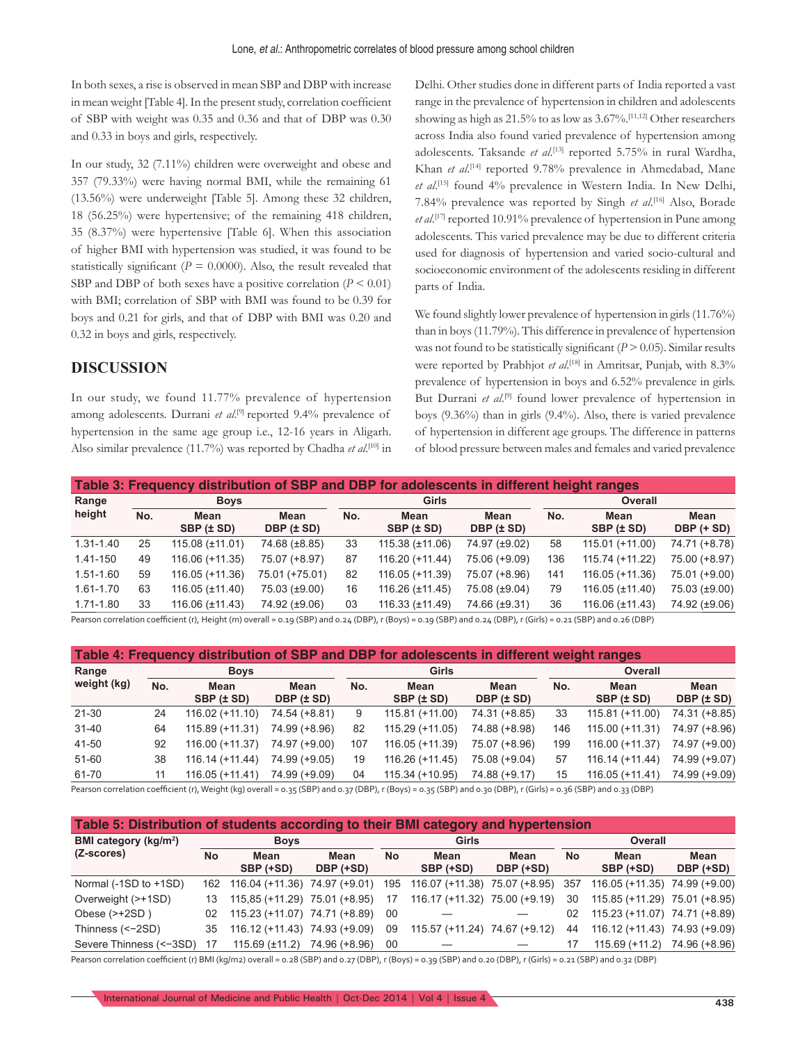In both sexes, a rise is observed in mean SBP and DBP with increase in mean weight [Table 4]. In the present study, correlation coefficient of SBP with weight was 0.35 and 0.36 and that of DBP was 0.30 and 0.33 in boys and girls, respectively.

In our study, 32 (7.11%) children were overweight and obese and 357 (79.33%) were having normal BMI, while the remaining 61 (13.56%) were underweight [Table 5]. Among these 32 children, 18 (56.25%) were hypertensive; of the remaining 418 children, 35 (8.37%) were hypertensive [Table 6]. When this association of higher BMI with hypertension was studied, it was found to be statistically significant ( $P = 0.0000$ ). Also, the result revealed that SBP and DBP of both sexes have a positive correlation (*P* < 0.01) with BMI; correlation of SBP with BMI was found to be 0.39 for boys and 0.21 for girls, and that of DBP with BMI was 0.20 and 0.32 in boys and girls, respectively.

# **DISCUSSION**

In our study, we found 11.77% prevalence of hypertension among adolescents. Durrani et al.<sup>[9]</sup> reported 9.4% prevalence of hypertension in the same age group i.e., 12-16 years in Aligarh. Also similar prevalence (11.7%) was reported by Chadha *et al.*<sup>[10]</sup> in Delhi. Other studies done in different parts of India reported a vast range in the prevalence of hypertension in children and adolescents showing as high as 21.5% to as low as 3.67%.[11,12] Other researchers across India also found varied prevalence of hypertension among adolescents. Taksande *et al*. [13] reported 5.75% in rural Wardha, Khan *et al.*<sup>[14]</sup> reported 9.78% prevalence in Ahmedabad, Mane *et al*. [15] found 4% prevalence in Western India. In New Delhi, 7.84% prevalence was reported by Singh *et al*. [16] Also, Borade et al.<sup>[17]</sup> reported 10.91% prevalence of hypertension in Pune among adolescents. This varied prevalence may be due to different criteria used for diagnosis of hypertension and varied socio-cultural and socioeconomic environment of the adolescents residing in different parts of India.

We found slightly lower prevalence of hypertension in girls (11.76%) than in boys (11.79%). This difference in prevalence of hypertension was not found to be statistically significant  $(P > 0.05)$ . Similar results were reported by Prabhjot et al.<sup>[18]</sup> in Amritsar, Punjab, with 8.3% prevalence of hypertension in boys and 6.52% prevalence in girls. But Durrani et al.<sup>[9]</sup> found lower prevalence of hypertension in boys (9.36%) than in girls (9.4%). Also, there is varied prevalence of hypertension in different age groups. The difference in patterns of blood pressure between males and females and varied prevalence

| Table 3: Frequency distribution of SBP and DBP for adolescents in different height ranges |     |                      |                    |       |                      |                           |     |                      |                    |  |
|-------------------------------------------------------------------------------------------|-----|----------------------|--------------------|-------|----------------------|---------------------------|-----|----------------------|--------------------|--|
| Range<br>height                                                                           |     | <b>Boys</b>          |                    | Girls |                      |                           |     | <b>Overall</b>       |                    |  |
|                                                                                           | No. | Mean<br>SBP (± SD)   | Mean<br>DBP (± SD) | No.   | Mean<br>SBP (± SD)   | Mean<br>DBP $(\pm$ SD $)$ | No. | Mean<br>SBP (± SD)   | Mean<br>DBP (+ SD) |  |
| 1.31-1.40                                                                                 | 25  | 115.08 (±11.01)      | 74.68 (±8.85)      | 33    | 115.38 (±11.06)      | 74.97 (±9.02)             | 58  | 115.01 (+11.00)      | 74.71 (+8.78)      |  |
| 1.41-150                                                                                  | 49  | 116.06 (+11.35)      | 75.07 (+8.97)      | 87    | 116.20 (+11.44)      | 75.06 (+9.09)             | 136 | 115.74 (+11.22)      | 75.00 (+8.97)      |  |
| 1.51-1.60                                                                                 | 59  | 116.05 (+11.36)      | 75.01 (+75.01)     | 82    | 116.05 (+11.39)      | 75.07 (+8.96)             | 141 | 116.05 (+11.36)      | 75.01 (+9.00)      |  |
| 1.61-1.70                                                                                 | 63  | $116.05 (\pm 11.40)$ | 75.03 (±9.00)      | 16    | $116.26 (\pm 11.45)$ | 75.08 (±9.04)             | 79  | $116.05 (\pm 11.40)$ | 75.03 (±9.00)      |  |
| 1.71-1.80                                                                                 | 33  | 116.06 (±11.43)      | 74.92 (±9.06)      | 03    | $116.33 (\pm 11.49)$ | 74.66 (±9.31)             | 36  | 116.06 (±11.43)      | 74.92 (±9.06)      |  |

Pearson correlation coefficient (r), Height (m) overall = 0.19 (SBP) and 0.24 (DBP), r (Boys) = 0.19 (SBP) and 0.24 (DBP), r (Girls) = 0.21 (SBP) and 0.26 (DBP)

| Table 4: Frequency distribution of SBP and DBP for adolescents in different weight ranges |     |                    |                    |       |                    |                        |     |                    |                    |  |
|-------------------------------------------------------------------------------------------|-----|--------------------|--------------------|-------|--------------------|------------------------|-----|--------------------|--------------------|--|
| Range<br>weight (kg)                                                                      |     | <b>Boys</b>        |                    | Girls |                    |                        |     | Overall            |                    |  |
|                                                                                           | No. | Mean<br>SBP (± SD) | Mean<br>DBP (± SD) | No.   | Mean<br>SBP (± SD) | Mean<br>DBP $(\pm SD)$ | No. | Mean<br>SBP (± SD) | Mean<br>DBP (± SD) |  |
| 21-30                                                                                     | 24  | $116.02 (+11.10)$  | 74.54 (+8.81)      | 9     | 115.81 (+11.00)    | 74.31 (+8.85)          | 33  | 115.81 (+11.00)    | 74.31 (+8.85)      |  |
| $31 - 40$                                                                                 | 64  | 115.89 (+11.31)    | 74.99 (+8.96)      | 82    | 115.29 (+11.05)    | 74.88 (+8.98)          | 146 | 115.00 (+11.31)    | 74.97 (+8.96)      |  |
| 41-50                                                                                     | 92  | 116.00 (+11.37)    | 74.97 (+9.00)      | 107   | 116.05 (+11.39)    | 75.07 (+8.96)          | 199 | 116.00 (+11.37)    | 74.97 (+9.00)      |  |
| 51-60                                                                                     | 38  | $116.14 (+11.44)$  | 74.99 (+9.05)      | 19    | $116.26 (+11.45)$  | 75.08 (+9.04)          | 57  | $116.14 (+11.44)$  | 74.99 (+9.07)      |  |
| 61-70                                                                                     | 11  | $116.05 (+11.41)$  | 74.99 (+9.09)      | 04    | $115.34 (+10.95)$  | 74.88 (+9.17)          | 15  | $116.05 (+11.41)$  | 74.99 (+9.09)      |  |

Pearson correlation coefficient (r), Weight (kg) overall = 0.35 (SBP) and 0.37 (DBP), r (Boys) = 0.35 (SBP) and 0.30 (DBP), r (Girls) = 0.36 (SBP) and 0.33 (DBP)

| Table 5: Distribution of students according to their BMI category and hypertension |             |                                   |                   |           |                               |                   |           |                               |                   |  |
|------------------------------------------------------------------------------------|-------------|-----------------------------------|-------------------|-----------|-------------------------------|-------------------|-----------|-------------------------------|-------------------|--|
| BMI category (kg/m <sup>2</sup> )                                                  | <b>Boys</b> |                                   |                   |           | Girls                         |                   |           | Overall                       |                   |  |
| (Z-scores)                                                                         | <b>No</b>   | Mean<br>SBP (+SD)                 | Mean<br>DBP (+SD) | <b>No</b> | Mean<br>SBP (+SD)             | Mean<br>DBP (+SD) | <b>No</b> | Mean<br>SBP (+SD)             | Mean<br>DBP (+SD) |  |
| Normal (-1SD to +1SD)                                                              |             | 162 116.04 (+11.36) 74.97 (+9.01) |                   | 195       | 116.07 (+11.38)               | 75.07 (+8.95)     | 357       | 116.05 (+11.35) 74.99 (+9.00) |                   |  |
| Overweight (>+1SD)                                                                 | 13          | 115,85 (+11.29) 75.01 (+8.95)     |                   | 17        | 116.17 (+11.32) 75.00 (+9.19) |                   | 30        | 115.85 (+11.29) 75.01 (+8.95) |                   |  |
| Obese $(\ge +2SD)$                                                                 | 02          | 115.23 (+11.07) 74.71 (+8.89)     |                   | 00        |                               |                   | 02        | 115.23 (+11.07) 74.71 (+8.89) |                   |  |
| Thinness (<-2SD)                                                                   | 35          | 116.12 (+11.43) 74.93 (+9.09)     |                   | 09        | 115.57 (+11.24)               | 74.67 (+9.12)     | 44        | 116.12 (+11.43) 74.93 (+9.09) |                   |  |
| Severe Thinness (<-3SD)                                                            | 17          | $115.69 \ (\pm 11.2)$             | 74.96 (+8.96)     | 00        |                               |                   | 17        | $115.69 (+11.2)$              | 74.96 (+8.96)     |  |

Pearson correlation coefficient (r) BMI (kg/m2) overall = 0.28 (SBP) and 0.27 (DBP), r (Boys) = 0.39 (SBP) and 0.20 (DBP), r (Girls) = 0.21 (SBP) and 0.32 (DBP)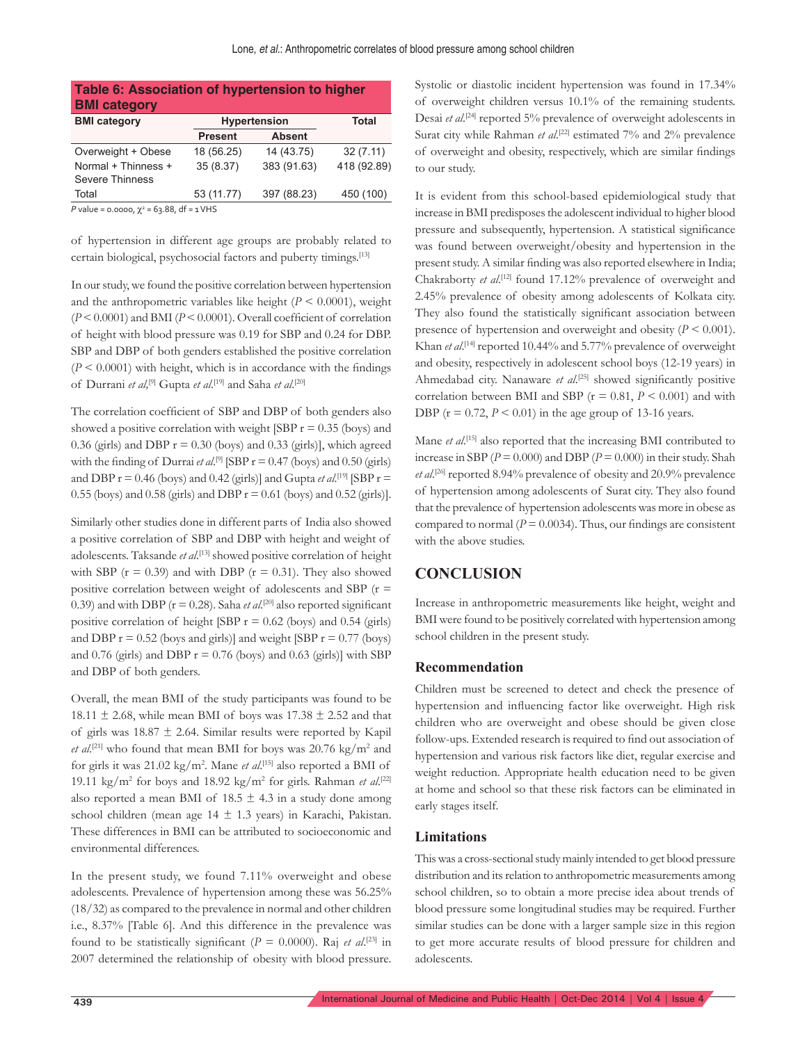| Table 6: Association of hypertension to higher<br><b>BMI</b> category |                     |               |             |  |  |  |  |  |  |
|-----------------------------------------------------------------------|---------------------|---------------|-------------|--|--|--|--|--|--|
| <b>BMI</b> category                                                   | <b>Hypertension</b> | <b>Total</b>  |             |  |  |  |  |  |  |
|                                                                       | <b>Present</b>      | <b>Absent</b> |             |  |  |  |  |  |  |
| Overweight + Obese                                                    | 18 (56.25)          | 14 (43.75)    | 32(7.11)    |  |  |  |  |  |  |
| Normal + Thinness +<br><b>Severe Thinness</b>                         | 35(8.37)            | 383 (91.63)   | 418 (92.89) |  |  |  |  |  |  |
| Total                                                                 | 53 (11.77)          | 397 (88.23)   | 450 (100)   |  |  |  |  |  |  |

*P* value = 0.0000,  $χ² = 63.88$ , df = 1 VHS

of hypertension in different age groups are probably related to certain biological, psychosocial factors and puberty timings.[13]

In our study, we found the positive correlation between hypertension and the anthropometric variables like height  $(P \le 0.0001)$ , weight  $(P < 0.0001)$  and BMI  $(P < 0.0001)$ . Overall coefficient of correlation of height with blood pressure was 0.19 for SBP and 0.24 for DBP. SBP and DBP of both genders established the positive correlation  $(P < 0.0001)$  with height, which is in accordance with the findings of Durrani *et al*,<sup>[9]</sup> Gupta *et al*.<sup>[19]</sup> and Saha *et al*.<sup>[20]</sup>

The correlation coefficient of SBP and DBP of both genders also showed a positive correlation with weight [SBP  $r = 0.35$  (boys) and 0.36 (girls) and DBP  $r = 0.30$  (boys) and 0.33 (girls)], which agreed with the finding of Durrai *et al.*<sup>[9]</sup> [SBP  $r = 0.47$  (boys) and 0.50 (girls) and DBP  $r = 0.46$  (boys) and 0.42 (girls)] and Gupta *et al.*<sup>[19]</sup> [SBP  $r =$ 0.55 (boys) and 0.58 (girls) and DBP  $r = 0.61$  (boys) and 0.52 (girls)].

Similarly other studies done in different parts of India also showed a positive correlation of SBP and DBP with height and weight of adolescents. Taksande *et al*. [13] showed positive correlation of height with SBP ( $r = 0.39$ ) and with DBP ( $r = 0.31$ ). They also showed positive correlation between weight of adolescents and SBP  $(r =$ 0.39) and with DBP ( $r = 0.28$ ). Saha *et al.*<sup>[20]</sup> also reported significant positive correlation of height [SBP  $r = 0.62$  (boys) and 0.54 (girls) and DBP  $r = 0.52$  (boys and girls)] and weight [SBP  $r = 0.77$  (boys) and 0.76 (girls) and DBP  $r = 0.76$  (boys) and 0.63 (girls)] with SBP and DBP of both genders.

Overall, the mean BMI of the study participants was found to be 18.11  $\pm$  2.68, while mean BMI of boys was 17.38  $\pm$  2.52 and that of girls was  $18.87 \pm 2.64$ . Similar results were reported by Kapil *et al.*<sup>[21]</sup> who found that mean BMI for boys was 20.76 kg/m<sup>2</sup> and for girls it was 21.02 kg/m2 . Mane *et al*. [15] also reported a BMI of 19.11 kg/m2 for boys and 18.92 kg/m2 for girls. Rahman *et al*. [22] also reported a mean BMI of  $18.5 \pm 4.3$  in a study done among school children (mean age  $14 \pm 1.3$  years) in Karachi, Pakistan. These differences in BMI can be attributed to socioeconomic and environmental differences.

In the present study, we found 7.11% overweight and obese adolescents. Prevalence of hypertension among these was 56.25% (18/32) as compared to the prevalence in normal and other children i.e., 8.37% [Table 6]. And this difference in the prevalence was found to be statistically significant ( $P = 0.0000$ ). Raj *et al.*<sup>[23]</sup> in 2007 determined the relationship of obesity with blood pressure.

Systolic or diastolic incident hypertension was found in 17.34% of overweight children versus 10.1% of the remaining students. Desai et al.<sup>[24]</sup> reported 5% prevalence of overweight adolescents in Surat city while Rahman *et al.*<sup>[22]</sup> estimated 7% and 2% prevalence of overweight and obesity, respectively, which are similar findings to our study.

It is evident from this school-based epidemiological study that increase in BMI predisposes the adolescent individual to higher blood pressure and subsequently, hypertension. A statistical significance was found between overweight/obesity and hypertension in the present study. A similar finding was also reported elsewhere in India; Chakraborty *et al.*<sup>[12]</sup> found 17.12% prevalence of overweight and 2.45% prevalence of obesity among adolescents of Kolkata city. They also found the statistically significant association between presence of hypertension and overweight and obesity  $(P < 0.001)$ . Khan *et al*.<sup>[14]</sup> reported 10.44% and 5.77% prevalence of overweight and obesity, respectively in adolescent school boys (12-19 years) in Ahmedabad city. Nanaware et al.<sup>[25]</sup> showed significantly positive correlation between BMI and SBP ( $r = 0.81$ ,  $P \le 0.001$ ) and with DBP ( $r = 0.72$ ,  $P < 0.01$ ) in the age group of 13-16 years.

Mane *et al*. [15] also reported that the increasing BMI contributed to increase in SBP ( $P = 0.000$ ) and DBP ( $P = 0.000$ ) in their study. Shah et al.<sup>[26]</sup> reported 8.94% prevalence of obesity and 20.9% prevalence of hypertension among adolescents of Surat city. They also found that the prevalence of hypertension adolescents was more in obese as compared to normal ( $P = 0.0034$ ). Thus, our findings are consistent with the above studies.

## **CONCLUSION**

Increase in anthropometric measurements like height, weight and BMI were found to be positively correlated with hypertension among school children in the present study.

#### **Recommendation**

Children must be screened to detect and check the presence of hypertension and influencing factor like overweight. High risk children who are overweight and obese should be given close follow-ups. Extended research is required to find out association of hypertension and various risk factors like diet, regular exercise and weight reduction. Appropriate health education need to be given at home and school so that these risk factors can be eliminated in early stages itself.

#### **Limitations**

This was a cross-sectional study mainly intended to get blood pressure distribution and its relation to anthropometric measurements among school children, so to obtain a more precise idea about trends of blood pressure some longitudinal studies may be required. Further similar studies can be done with a larger sample size in this region to get more accurate results of blood pressure for children and adolescents.